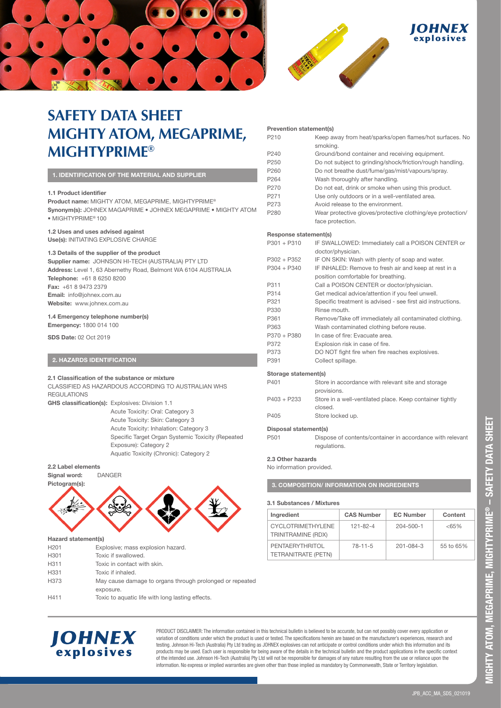





# **SAFETY DATA SHEET MIGHTY ATOM, MEGAPRIME, MIGHTYPRIME®**

| 1. IDENTIFICATION OF THE MATERIAL AND SUPPLIER |
|------------------------------------------------|
|------------------------------------------------|

## **1.1 Product identifier**

**Product name:** MIGHTY ATOM, MEGAPRIME, MIGHTYPRIME®

**Synonym(s):** JOHNEX MAGAPRIME • JOHNEX MEGAPRIME • MIGHTY ATOM • MIGHTYPRIME® 100

### **1.2 Uses and uses advised against**

**Use(s):** INITIATING EXPLOSIVE CHARGE

## **1.3 Details of the supplier of the product**

**Supplier name:** JOHNSON HI-TECH (AUSTRALIA) PTY LTD **Address:** Level 1, 63 Abernethy Road, Belmont WA 6104 AUSTRALIA **Telephone:** +61 8 6250 8200 **Fax:** +61 8 9473 2379 **Email:** info@johnex.com.au **Website:** www.johnex.com.au

## **1.4 Emergency telephone number(s)**

**Emergency:** 1800 014 100

**SDS Date:** 02 Oct 2019

## **2. HAZARDS IDENTIFICATION**

## **2.1 Classification of the substance or mixture**

CLASSIFIED AS HAZARDOUS ACCORDING TO AUSTRALIAN WHS **REGULATIONS** 

**GHS classification(s):** Explosives: Division 1.1

Acute Toxicity: Oral: Category 3 Acute Toxicity: Skin: Category 3 Acute Toxicity: Inhalation: Category 3 Specific Target Organ Systemic Toxicity (Repeated Exposure): Category 2 Aquatic Toxicity (Chronic): Category 2

## **2.2 Label elements**



#### **Hazard statement(s)**

| H <sub>201</sub> | Explosive; mass explosion hazard.                        |
|------------------|----------------------------------------------------------|
| H301             | Toxic if swallowed.                                      |
| H311             | Toxic in contact with skin.                              |
| H331             | Toxic if inhaled.                                        |
| H373             | May cause damage to organs through prolonged or repeated |
|                  | exposure.                                                |
| H411             | Toxic to aquatic life with long lasting effects.         |
|                  |                                                          |

#### **Prevention statement(s)**

| P210                  | Keep away from heat/sparks/open flames/hot surfaces. No<br>smoking. |
|-----------------------|---------------------------------------------------------------------|
| P240                  | Ground/bond container and receiving equipment.                      |
| P250                  | Do not subject to grinding/shock/friction/rough handling.           |
| P260                  | Do not breathe dust/fume/gas/mist/vapours/spray.                    |
| P <sub>264</sub>      | Wash thoroughly after handling.                                     |
| P270                  | Do not eat, drink or smoke when using this product.                 |
| P <sub>271</sub>      | Use only outdoors or in a well-ventilated area.                     |
| P273                  | Avoid release to the environment                                    |
| P280                  | Wear protective gloves/protective clothing/eye protection/          |
|                       | face protection.                                                    |
| Response statement(s) |                                                                     |
| $P301 + P310$         | IF SWALLOWED: Immediately call a POISON CENTER or                   |
|                       | doctor/physician.                                                   |
| $P302 + P352$         | IF ON SKIN: Wash with plenty of soap and water.                     |
| $P304 + P340$         | IF INHALED: Remove to fresh air and keep at rest in a               |
|                       | position comfortable for breathing.                                 |
| P311                  | Call a POISON CENTER or doctor/physician.                           |
| P314                  | Get medical advice/attention if you feel unwell.                    |
| P321                  | Specific treatment is advised - see first aid instructions.         |
| P330                  | Rinse mouth.                                                        |
| P361                  | Remove/Take off immediately all contaminated clothing.              |
| P363                  | Wash contaminated clothing before reuse.                            |
| P370 + P380           | In case of fire: Evacuate area.                                     |

#### **Storage statement(s)**

P391 Collect spillage.

P372 Explosion risk in case of fire.

| P401        | Store in accordance with relevant site and storage       |
|-------------|----------------------------------------------------------|
|             | provisions.                                              |
| P403 + P233 | Store in a well-ventilated place. Keep container tightly |
|             | closed.                                                  |
| P405        | Store locked up.                                         |
|             |                                                          |

P373 DO NOT fight fire when fire reaches explosives.

## **Disposal statement(s)**

P501 Dispose of contents/container in accordance with relevant regulations.

#### **2.3 Other hazards**

No information provided.

**3. COMPOSITION/ INFORMATION ON INGREDIENTS** 

## **3.1 Substances / Mixtures**

| Ingredient                                     | <b>CAS Number</b> | <b>EC Number</b> | Content   |
|------------------------------------------------|-------------------|------------------|-----------|
| <b>CYCLOTRIMETHYLENE</b><br>TRINITRAMINE (RDX) | 121-82-4          | 204-500-1        | $<65\%$   |
| PENTAERYTHRITOL<br><b>TETRANITRATE (PETN)</b>  | $78 - 11 - 5$     | 201-084-3        | 55 to 65% |

**MIGHTY ATOM, MEGAPRIME, MIGHTYPRIME**

VIIGHTY ATOM, MEGAPRIME, MIGHTYPRIME® – SAFETY DATA SHEET

**® – SAFETY DATA SHEET**



PRODUCT DISCLAIMER: The information contained in this technical bulletin is believed to be accurate, but can not possibly cover every application or variation of conditions under which the product is used or tested. The specifications herein are based on the manufacturer's experiences, research and testing. Johnson Hi-Tech (Australia) Pty Ltd trading as JOHNEX explosives can not anticipate or control conditions under which this information and its products may be used. Each user is responsible for being aware of the details in the technical bulletin and the product applications in the specific context of the intended use. Johnson Hi-Tech (Australia) Pty Ltd will not be responsible for damages of any nature resulting from the use or reliance upon the information. No express or implied warranties are given other than those implied as mandatory by Commonwealth, State or Territory legislation.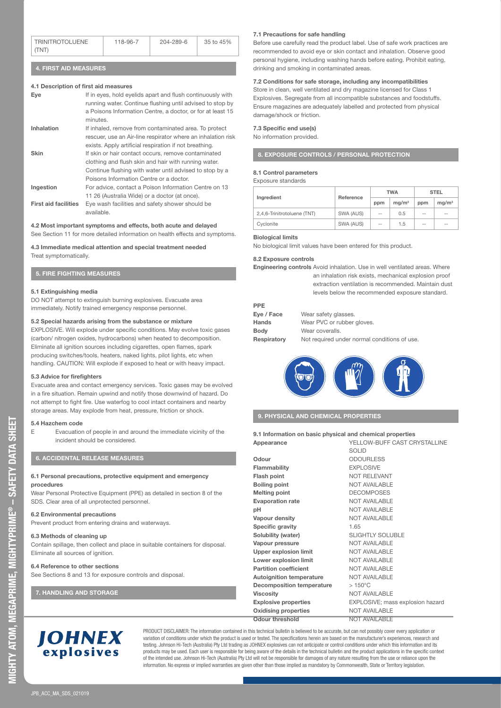| <b>TRINITROTOLUENE</b><br>118-96-7 |  | 204-289-6 | 35 to 45% |
|------------------------------------|--|-----------|-----------|
| TTNT                               |  |           |           |

## **4. FIRST AID MEASURES**

## **4.1 Description of first aid measures**

| Eye                         | If in eyes, hold eyelids apart and flush continuously with<br>running water. Continue flushing until advised to stop by<br>a Poisons Information Centre, a doctor, or for at least 15<br>minutes. |
|-----------------------------|---------------------------------------------------------------------------------------------------------------------------------------------------------------------------------------------------|
| Inhalation                  | If inhaled, remove from contaminated area. To protect                                                                                                                                             |
|                             | rescuer, use an Air-line respirator where an inhalation risk                                                                                                                                      |
|                             | exists. Apply artificial respiration if not breathing.                                                                                                                                            |
| <b>Skin</b>                 | If skin or hair contact occurs, remove contaminated                                                                                                                                               |
|                             | clothing and flush skin and hair with running water.                                                                                                                                              |
|                             | Continue flushing with water until advised to stop by a                                                                                                                                           |
|                             | Poisons Information Centre or a doctor.                                                                                                                                                           |
| Ingestion                   | For advice, contact a Poison Information Centre on 13                                                                                                                                             |
|                             | 11 26 (Australia Wide) or a doctor (at once).                                                                                                                                                     |
| <b>First aid facilities</b> | Eye wash facilities and safety shower should be                                                                                                                                                   |
|                             | available.                                                                                                                                                                                        |

#### **4.2 Most important symptoms and effects, both acute and delayed**  See Section 11 for more detailed information on health effects and symptoms.

**4.3 Immediate medical attention and special treatment needed**  Treat symptomatically.

## **5. FIRE FIGHTING MEASURES**

## **5.1 Extinguishing media**

DO NOT attempt to extinguish burning explosives. Evacuate area immediately. Notify trained emergency response personnel.

## **5.2 Special hazards arising from the substance or mixture**

EXPLOSIVE. Will explode under specific conditions. May evolve toxic gases (carbon/ nitrogen oxides, hydrocarbons) when heated to decomposition. Eliminate all ignition sources including cigarettes, open flames, spark producing switches/tools, heaters, naked lights, pilot lights, etc when handling. CAUTION: Will explode if exposed to heat or with heavy impact.

## **5.3 Advice for firefighters**

Evacuate area and contact emergency services. Toxic gases may be evolved in a fire situation. Remain upwind and notify those downwind of hazard. Do not attempt to fight fire. Use waterfog to cool intact containers and nearby storage areas. May explode from heat, pressure, friction or shock.

### **5.4 Hazchem code**

E Evacuation of people in and around the immediate vicinity of the incident should be considered.

## **6. ACCIDENTAL RELEASE MEASURES**

#### **6.1 Personal precautions, protective equipment and emergency procedures**

Wear Personal Protective Equipment (PPE) as detailed in section 8 of the SDS. Clear area of all unprotected personnel.

### **6.2 Environmental precautions**

Prevent product from entering drains and waterways.

#### **6.3 Methods of cleaning up**

Contain spillage, then collect and place in suitable containers for disposal. Eliminate all sources of ignition.

## **6.4 Reference to other sections**

See Sections 8 and 13 for exposure controls and disposal.

## **7. HANDLING AND STORAGE**

**9. PHYSICAL AND CHEMICAL PROPERTIES** 

| 9.1 Information on basic physical and chemical properties |                              |  |
|-----------------------------------------------------------|------------------------------|--|
| Appearance                                                | YELLOW-BUFF CAST CRYSTALLINE |  |
|                                                           | <b>SOLID</b>                 |  |
| Odour                                                     | <b>ODOURLESS</b>             |  |
| Flammability                                              | <b>EXPLOSIVE</b>             |  |
| Flash point                                               | <b>NOT RELEVANT</b>          |  |

| Flash point                      | <b>NOT RELEVANT</b>              |
|----------------------------------|----------------------------------|
| <b>Boiling point</b>             | <b>NOT AVAILABLE</b>             |
| <b>Melting point</b>             | <b>DECOMPOSES</b>                |
| <b>Evaporation rate</b>          | <b>NOT AVAILABLE</b>             |
| pН                               | <b>NOT AVAILABLE</b>             |
| Vapour density                   | <b>NOT AVAILABLE</b>             |
| Specific gravity                 | 1.65                             |
| Solubility (water)               | <b>SLIGHTLY SOLUBLE</b>          |
| Vapour pressure                  | <b>NOT AVAILABLE</b>             |
| <b>Upper explosion limit</b>     | <b>NOT AVAILABLE</b>             |
| Lower explosion limit            | <b>NOT AVAILABLE</b>             |
| <b>Partition coefficient</b>     | <b>NOT AVAILABLE</b>             |
| <b>Autoignition temperature</b>  | <b>NOT AVAILABLE</b>             |
| <b>Decomposition temperature</b> | $>150^{\circ}$ C                 |
| <b>Viscosity</b>                 | <b>NOT AVAILABLE</b>             |
| <b>Explosive properties</b>      | EXPLOSIVE; mass explosion hazard |
| <b>Oxidising properties</b>      | <b>NOT AVAILABLE</b>             |
| Odour threshold                  | NOT AVAII ARI F                  |

# **JOHNEX** explosives

PRODUCT DISCLAIMER: The information contained in this technical bulletin is believed to be accurate, but can not possibly cover every application or variation of conditions under which the product is used or tested. The specifications herein are based on the manufacturer's experiences, research and testing. Johnson Hi-Tech (Australia) Pty Ltd trading as JOHNEX explosives can not anticipate or control conditions under which this information and its products may be used. Each user is responsible for being aware of the details in the technical bulletin and the product applications in the specific context of the intended use. Johnson Hi-Tech (Australia) Pty Ltd will not be responsible for damages of any nature resulting from the use or reliance upon the information. No express or implied warranties are given other than those implied as mandatory by Commonwealth, State or Territory legislation.

## **7.1 Precautions for safe handling**

Before use carefully read the product label. Use of safe work practices are recommended to avoid eye or skin contact and inhalation. Observe good personal hygiene, including washing hands before eating. Prohibit eating, drinking and smoking in contaminated areas.

## **7.2 Conditions for safe storage, including any incompatibilities**

Store in clean, well ventilated and dry magazine licensed for Class 1 Explosives. Segregate from all incompatible substances and foodstuffs. Ensure magazines are adequately labelled and protected from physical damage/shock or friction.

## **7.3 Specific end use(s)**

No information provided.

## **8. EXPOSURE CONTROLS / PERSONAL PROTECTION**

## **8.1 Control parameters**

|  | Exposure standards |
|--|--------------------|
|--|--------------------|

|                             | Reference | <b>TWA</b>    |                   | <b>STEL</b> |                   |
|-----------------------------|-----------|---------------|-------------------|-------------|-------------------|
| Ingredient                  |           | ppm           | ma/m <sup>3</sup> | ppm         | ma/m <sup>3</sup> |
| 2,4,6-Trinitrotoluene (TNT) | SWA (AUS) | $-$           | 0.5               | $-$         | $-$               |
| Cyclonite                   | SWA (AUS) | $\sim$ $\sim$ | 1.5               | $- -$       | $-$               |

## **Biological limits**

No biological limit values have been entered for this product.

## **8.2 Exposure controls**

**Engineering controls** Avoid inhalation. Use in well ventilated areas. Where

an inhalation risk exists, mechanical explosion proof extraction ventilation is recommended. Maintain dust levels below the recommended exposure standard.

#### **PPE**

| Eye / Face  | Wear safety glasses.                         |
|-------------|----------------------------------------------|
| Hands       | Wear PVC or rubber gloves.                   |
| <b>Body</b> | Wear coveralls.                              |
| Respiratory | Not required under normal conditions of use. |



JPB\_ACC\_MA\_SDS\_021019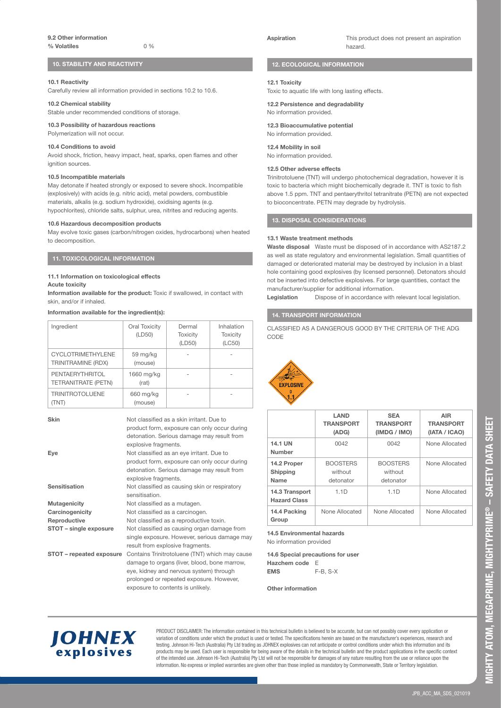## **10. STABILITY AND REACTIVITY**

## **10.1 Reactivity**

Carefully review all information provided in sections 10.2 to 10.6.

### **10.2 Chemical stability**

Stable under recommended conditions of storage.

## **10.3 Possibility of hazardous reactions**

Polymerization will not occur.

## **10.4 Conditions to avoid**

Avoid shock, friction, heavy impact, heat, sparks, open flames and other ignition sources

#### **10.5 Incompatible materials**

May detonate if heated strongly or exposed to severe shock. Incompatible (explosively) with acids (e.g. nitric acid), metal powders, combustible materials, alkalis (e.g. sodium hydroxide), oxidising agents (e.g. hypochlorites), chloride salts, sulphur, urea, nitrites and reducing agents.

### **10.6 Hazardous decomposition products**

May evolve toxic gases (carbon/nitrogen oxides, hydrocarbons) when heated to decomposition.

## **11. TOXICOLOGICAL INFORMATION**

#### **11.1 Information on toxicological effects Acute toxicity**

**Information available for the product:** Toxic if swallowed, in contact with skin, and/or if inhaled.

## **Information available for the ingredient(s):**

| Ingredient                                     | Oral Toxicity<br>(LD50) | Dermal<br><b>Toxicity</b><br>(LD50) | Inhalation<br><b>Toxicity</b><br>(LC50) |
|------------------------------------------------|-------------------------|-------------------------------------|-----------------------------------------|
| <b>CYCLOTRIMETHYLENE</b><br>TRINITRAMINE (RDX) | 59 mg/kg<br>(mouse)     |                                     | ۰                                       |
| PENTAERYTHRITOL<br>TETRANITRATE (PETN)         | 1660 mg/kg<br>(rat)     |                                     |                                         |
| <b>TRINITROTOLUENE</b>                         | 660 mg/kg<br>(mouse)    |                                     |                                         |

## **Skin** Not classified as a skin irritant. Due to

|                          | product form, exposure can only occur during   |
|--------------------------|------------------------------------------------|
|                          | detonation. Serious damage may result from     |
|                          | explosive fragments.                           |
| Eye                      | Not classified as an eye irritant. Due to      |
|                          | product form, exposure can only occur during   |
|                          | detonation. Serious damage may result from     |
|                          | explosive fragments.                           |
| Sensitisation            | Not classified as causing skin or respiratory  |
|                          | sensitisation.                                 |
| Mutagenicity             | Not classified as a mutagen.                   |
| Carcinogenicity          | Not classified as a carcinogen.                |
| Reproductive             | Not classified as a reproductive toxin.        |
| STOT - single exposure   | Not classified as causing organ damage from    |
|                          | single exposure. However, serious damage may   |
|                          | result from explosive fragments.               |
| STOT - repeated exposure | Contains Trinitrotoluene (TNT) which may cause |
|                          | damage to organs (liver, blood, bone marrow,   |
|                          | eye, kidney and nervous system) through        |
|                          | prolonged or repeated exposure. However,       |

exposure to contents is unlikely.



**Aspiration** This product does not present an aspiration hazard.

## **12. ECOLOGICAL INFORMATION**

## **12.1 Toxicity**

Toxic to aquatic life with long lasting effects.

**12.2 Persistence and degradability**  No information provided.

## **12.3 Bioaccumulative potential**  No information provided.

#### **12.4 Mobility in soil**

No information provided.

#### **12.5 Other adverse effects**

Trinitrotoluene (TNT) will undergo photochemical degradation, however it is toxic to bacteria which might biochemically degrade it. TNT is toxic to fish above 1.5 ppm. TNT and pentaerythritol tetranitrate (PETN) are not expected to bioconcentrate. PETN may degrade by hydrolysis.

## **13. DISPOSAL CONSIDERATIONS**

## **13.1 Waste treatment methods**

**Waste disposal** Waste must be disposed of in accordance with AS2187.2 as well as state regulatory and environmental legislation. Small quantities of damaged or deteriorated material may be destroyed by inclusion in a blast hole containing good explosives (by licensed personnel). Detonators should not be inserted into defective explosives. For large quantities, contact the manufacturer/supplier for additional information.

Legislation Dispose of in accordance with relevant local legislation.

## **14. TRANSPORT INFORMATION**

CLASSIFIED AS A DANGEROUS GOOD BY THE CRITERIA OF THE ADG CODE



|                                        | LAND<br><b>TRANSPORT</b><br>(ADG)       | <b>SEA</b><br><b>TRANSPORT</b><br>(IMDG / IMO) | AIR<br><b>TRANSPORT</b><br>(IATA / ICAO) |
|----------------------------------------|-----------------------------------------|------------------------------------------------|------------------------------------------|
| 14.1 UN<br>Number                      | 0042                                    | 0042                                           | None Allocated                           |
| 14.2 Proper<br><b>Shipping</b><br>Name | <b>BOOSTERS</b><br>without<br>detonator | <b>BOOSTERS</b><br>without<br>detonator        | None Allocated                           |
| 14.3 Transport<br><b>Hazard Class</b>  | 1.1D                                    | 1.1D                                           | None Allocated                           |
| 14.4 Packing<br>Group                  | None Allocated                          | None Allocated                                 | None Allocated                           |

**14.5 Environmental hazards**  No information provided

**14.6 Special precautions for user Hazchem code** E

**EMS** F-B, S-X

## **Other information**

**JOHNEX** explosives

PRODUCT DISCLAIMER: The information contained in this technical bulletin is believed to be accurate, but can not possibly cover every application or variation of conditions under which the product is used or tested. The specifications herein are based on the manufacturer's experiences, research and testing. Johnson Hi-Tech (Australia) Pty Ltd trading as JOHNEX explosives can not anticipate or control conditions under which this information and its products may be used. Each user is responsible for being aware of the details in the technical bulletin and the product applications in the specific context of the intended use. Johnson Hi-Tech (Australia) Pty Ltd will not be responsible for damages of any nature resulting from the use or reliance upon the information. No express or implied warranties are given other than those implied as mandatory by Commonwealth, State or Territory legislation.